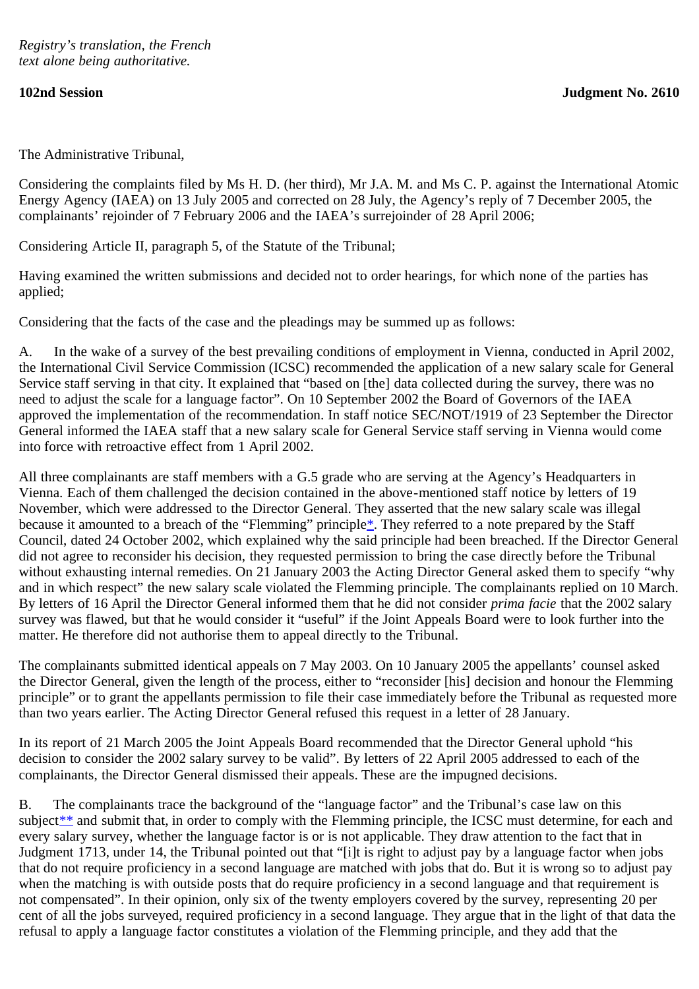The Administrative Tribunal,

Considering the complaints filed by Ms H. D. (her third), Mr J.A. M. and Ms C. P. against the International Atomic Energy Agency (IAEA) on 13 July 2005 and corrected on 28 July, the Agency's reply of 7 December 2005, the complainants' rejoinder of 7 February 2006 and the IAEA's surrejoinder of 28 April 2006;

Considering Article II, paragraph 5, of the Statute of the Tribunal;

Having examined the written submissions and decided not to order hearings, for which none of the parties has applied;

Considering that the facts of the case and the pleadings may be summed up as follows:

A. In the wake of a survey of the best prevailing conditions of employment in Vienna, conducted in April 2002, the International Civil Service Commission (ICSC) recommended the application of a new salary scale for General Service staff serving in that city. It explained that "based on [the] data collected during the survey, there was no need to adjust the scale for a language factor". On 10 September 2002 the Board of Governors of the IAEA approved the implementation of the recommendation. In staff notice SEC/NOT/1919 of 23 September the Director General informed the IAEA staff that a new salary scale for General Service staff serving in Vienna would come into force with retroactive effect from 1 April 2002.

<span id="page-0-0"></span>All three complainants are staff members with a G.5 grade who are serving at the Agency's Headquarters in Vienna. Each of them challenged the decision contained in the above-mentioned staff notice by letters of 19 November, which were addressed to the Director General. They asserted that the new salary scale was illegal because it amounted to a breach of the "Flemming" principle. They referred to a note prepared by the Staff Council, dated 24 October 2002, which explained why the said principle had been breached. If the Director General did not agree to reconsider his decision, they requested permission to bring the case directly before the Tribunal without exhausting internal remedies. On 21 January 2003 the Acting Director General asked them to specify "why and in which respect" the new salary scale violated the Flemming principle. The complainants replied on 10 March. By letters of 16 April the Director General informed them that he did not consider *prima facie* that the 2002 salary survey was flawed, but that he would consider it "useful" if the Joint Appeals Board were to look further into the matter. He therefore did not authorise them to appeal directly to the Tribunal.

The complainants submitted identical appeals on 7 May 2003. On 10 January 2005 the appellants' counsel asked the Director General, given the length of the process, either to "reconsider [his] decision and honour the Flemming principle" or to grant the appellants permission to file their case immediately before the Tribunal as requested more than two years earlier. The Acting Director General refused this request in a letter of 28 January.

In its report of 21 March 2005 the Joint Appeals Board recommended that the Director General uphold "his decision to consider the 2002 salary survey to be valid". By letters of 22 April 2005 addressed to each of the complainants, the Director General dismissed their appeals. These are the impugned decisions.

<span id="page-0-1"></span>B. The complainants trace the background of the "language factor" and the Tribunal's case law on this subject<sup>\*\*</sup> and submit that, in order to comply with the Flemming principle, the ICSC must determine, for each and every salary survey, whether the language factor is or is not applicable. They draw attention to the fact that in Judgment 1713, under 14, the Tribunal pointed out that "[i]t is right to adjust pay by a language factor when jobs that do not require proficiency in a second language are matched with jobs that do. But it is wrong so to adjust pay when the matching is with outside posts that do require proficiency in a second language and that requirement is not compensated". In their opinion, only six of the twenty employers covered by the survey, representing 20 per cent of all the jobs surveyed, required proficiency in a second language. They argue that in the light of that data the refusal to apply a language factor constitutes a violation of the Flemming principle, and they add that the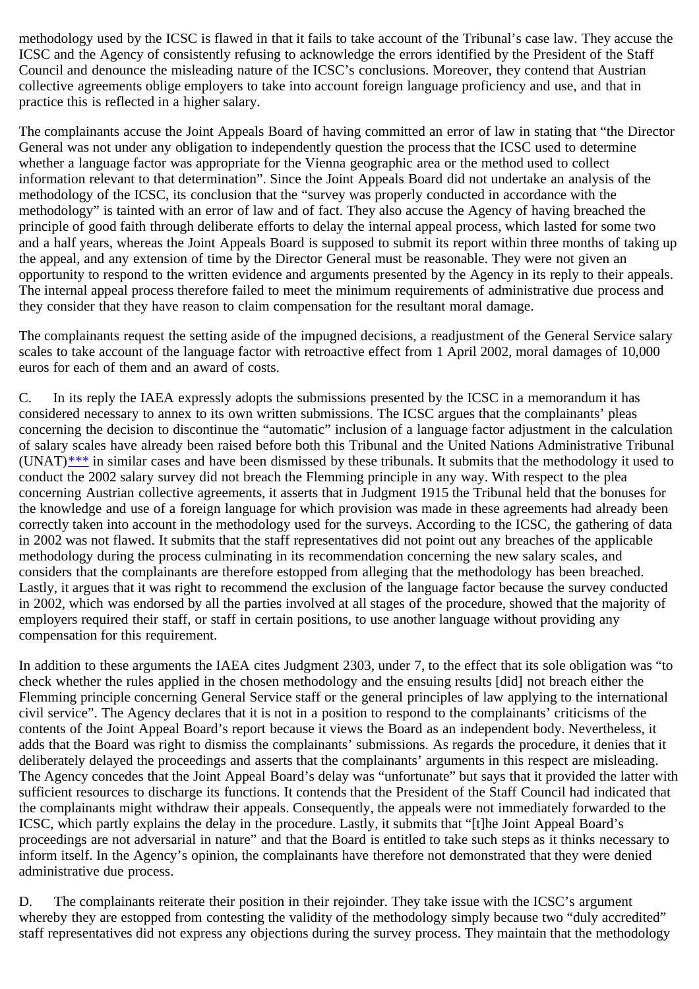methodology used by the ICSC is flawed in that it fails to take account of the Tribunal's case law. They accuse the ICSC and the Agency of consistently refusing to acknowledge the errors identified by the President of the Staff Council and denounce the misleading nature of the ICSC's conclusions. Moreover, they contend that Austrian collective agreements oblige employers to take into account foreign language proficiency and use, and that in practice this is reflected in a higher salary.

The complainants accuse the Joint Appeals Board of having committed an error of law in stating that "the Director General was not under any obligation to independently question the process that the ICSC used to determine whether a language factor was appropriate for the Vienna geographic area or the method used to collect information relevant to that determination". Since the Joint Appeals Board did not undertake an analysis of the methodology of the ICSC, its conclusion that the "survey was properly conducted in accordance with the methodology" is tainted with an error of law and of fact. They also accuse the Agency of having breached the principle of good faith through deliberate efforts to delay the internal appeal process, which lasted for some two and a half years, whereas the Joint Appeals Board is supposed to submit its report within three months of taking up the appeal, and any extension of time by the Director General must be reasonable. They were not given an opportunity to respond to the written evidence and arguments presented by the Agency in its reply to their appeals. The internal appeal process therefore failed to meet the minimum requirements of administrative due process and they consider that they have reason to claim compensation for the resultant moral damage.

The complainants request the setting aside of the impugned decisions, a readjustment of the General Service salary scales to take account of the language factor with retroactive effect from 1 April 2002, moral damages of 10,000 euros for each of them and an award of costs.

<span id="page-1-0"></span>C. In its reply the IAEA expressly adopts the submissions presented by the ICSC in a memorandum it has considered necessary to annex to its own written submissions. The ICSC argues that the complainants' pleas concerning the decision to discontinue the "automatic" inclusion of a language factor adjustment in the calculation of salary scales have already been raised before both this Tribunal and the United Nations Administrative Tribunal  $(UNAT)$ <sup>[\\*\\*\\*](#page-4-2)</sup> in similar cases and have been dismissed by these tribunals. It submits that the methodology it used to conduct the 2002 salary survey did not breach the Flemming principle in any way. With respect to the plea concerning Austrian collective agreements, it asserts that in Judgment 1915 the Tribunal held that the bonuses for the knowledge and use of a foreign language for which provision was made in these agreements had already been correctly taken into account in the methodology used for the surveys. According to the ICSC, the gathering of data in 2002 was not flawed. It submits that the staff representatives did not point out any breaches of the applicable methodology during the process culminating in its recommendation concerning the new salary scales, and considers that the complainants are therefore estopped from alleging that the methodology has been breached. Lastly, it argues that it was right to recommend the exclusion of the language factor because the survey conducted in 2002, which was endorsed by all the parties involved at all stages of the procedure, showed that the majority of employers required their staff, or staff in certain positions, to use another language without providing any compensation for this requirement.

In addition to these arguments the IAEA cites Judgment 2303, under 7, to the effect that its sole obligation was "to check whether the rules applied in the chosen methodology and the ensuing results [did] not breach either the Flemming principle concerning General Service staff or the general principles of law applying to the international civil service". The Agency declares that it is not in a position to respond to the complainants' criticisms of the contents of the Joint Appeal Board's report because it views the Board as an independent body. Nevertheless, it adds that the Board was right to dismiss the complainants' submissions. As regards the procedure, it denies that it deliberately delayed the proceedings and asserts that the complainants' arguments in this respect are misleading. The Agency concedes that the Joint Appeal Board's delay was "unfortunate" but says that it provided the latter with sufficient resources to discharge its functions. It contends that the President of the Staff Council had indicated that the complainants might withdraw their appeals. Consequently, the appeals were not immediately forwarded to the ICSC, which partly explains the delay in the procedure. Lastly, it submits that "[t]he Joint Appeal Board's proceedings are not adversarial in nature" and that the Board is entitled to take such steps as it thinks necessary to inform itself. In the Agency's opinion, the complainants have therefore not demonstrated that they were denied administrative due process.

D. The complainants reiterate their position in their rejoinder. They take issue with the ICSC's argument whereby they are estopped from contesting the validity of the methodology simply because two "duly accredited" staff representatives did not express any objections during the survey process. They maintain that the methodology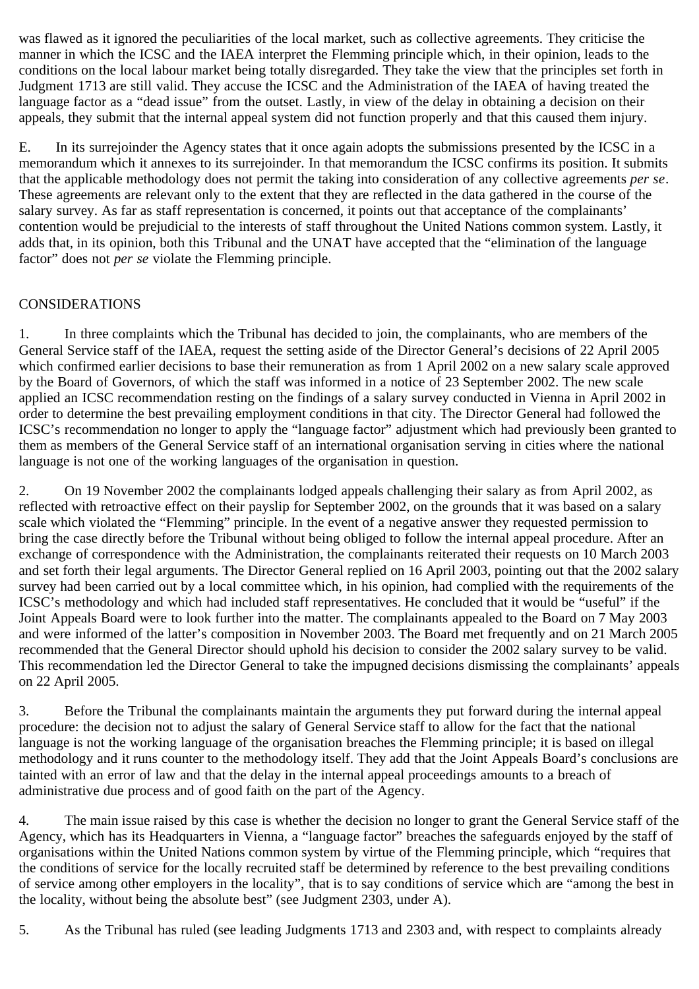was flawed as it ignored the peculiarities of the local market, such as collective agreements. They criticise the manner in which the ICSC and the IAEA interpret the Flemming principle which, in their opinion, leads to the conditions on the local labour market being totally disregarded. They take the view that the principles set forth in Judgment 1713 are still valid. They accuse the ICSC and the Administration of the IAEA of having treated the language factor as a "dead issue" from the outset. Lastly, in view of the delay in obtaining a decision on their appeals, they submit that the internal appeal system did not function properly and that this caused them injury.

E. In its surrejoinder the Agency states that it once again adopts the submissions presented by the ICSC in a memorandum which it annexes to its surrejoinder. In that memorandum the ICSC confirms its position. It submits that the applicable methodology does not permit the taking into consideration of any collective agreements *per se*. These agreements are relevant only to the extent that they are reflected in the data gathered in the course of the salary survey. As far as staff representation is concerned, it points out that acceptance of the complainants' contention would be prejudicial to the interests of staff throughout the United Nations common system. Lastly, it adds that, in its opinion, both this Tribunal and the UNAT have accepted that the "elimination of the language factor" does not *per se* violate the Flemming principle.

## CONSIDERATIONS

1. In three complaints which the Tribunal has decided to join, the complainants, who are members of the General Service staff of the IAEA, request the setting aside of the Director General's decisions of 22 April 2005 which confirmed earlier decisions to base their remuneration as from 1 April 2002 on a new salary scale approved by the Board of Governors, of which the staff was informed in a notice of 23 September 2002. The new scale applied an ICSC recommendation resting on the findings of a salary survey conducted in Vienna in April 2002 in order to determine the best prevailing employment conditions in that city. The Director General had followed the ICSC's recommendation no longer to apply the "language factor" adjustment which had previously been granted to them as members of the General Service staff of an international organisation serving in cities where the national language is not one of the working languages of the organisation in question.

2. On 19 November 2002 the complainants lodged appeals challenging their salary as from April 2002, as reflected with retroactive effect on their payslip for September 2002, on the grounds that it was based on a salary scale which violated the "Flemming" principle. In the event of a negative answer they requested permission to bring the case directly before the Tribunal without being obliged to follow the internal appeal procedure. After an exchange of correspondence with the Administration, the complainants reiterated their requests on 10 March 2003 and set forth their legal arguments. The Director General replied on 16 April 2003, pointing out that the 2002 salary survey had been carried out by a local committee which, in his opinion, had complied with the requirements of the ICSC's methodology and which had included staff representatives. He concluded that it would be "useful" if the Joint Appeals Board were to look further into the matter. The complainants appealed to the Board on 7 May 2003 and were informed of the latter's composition in November 2003. The Board met frequently and on 21 March 2005 recommended that the General Director should uphold his decision to consider the 2002 salary survey to be valid. This recommendation led the Director General to take the impugned decisions dismissing the complainants' appeals on 22 April 2005.

3. Before the Tribunal the complainants maintain the arguments they put forward during the internal appeal procedure: the decision not to adjust the salary of General Service staff to allow for the fact that the national language is not the working language of the organisation breaches the Flemming principle; it is based on illegal methodology and it runs counter to the methodology itself. They add that the Joint Appeals Board's conclusions are tainted with an error of law and that the delay in the internal appeal proceedings amounts to a breach of administrative due process and of good faith on the part of the Agency.

4. The main issue raised by this case is whether the decision no longer to grant the General Service staff of the Agency, which has its Headquarters in Vienna, a "language factor" breaches the safeguards enjoyed by the staff of organisations within the United Nations common system by virtue of the Flemming principle, which "requires that the conditions of service for the locally recruited staff be determined by reference to the best prevailing conditions of service among other employers in the locality", that is to say conditions of service which are "among the best in the locality, without being the absolute best" (see Judgment 2303, under A).

5. As the Tribunal has ruled (see leading Judgments 1713 and 2303 and, with respect to complaints already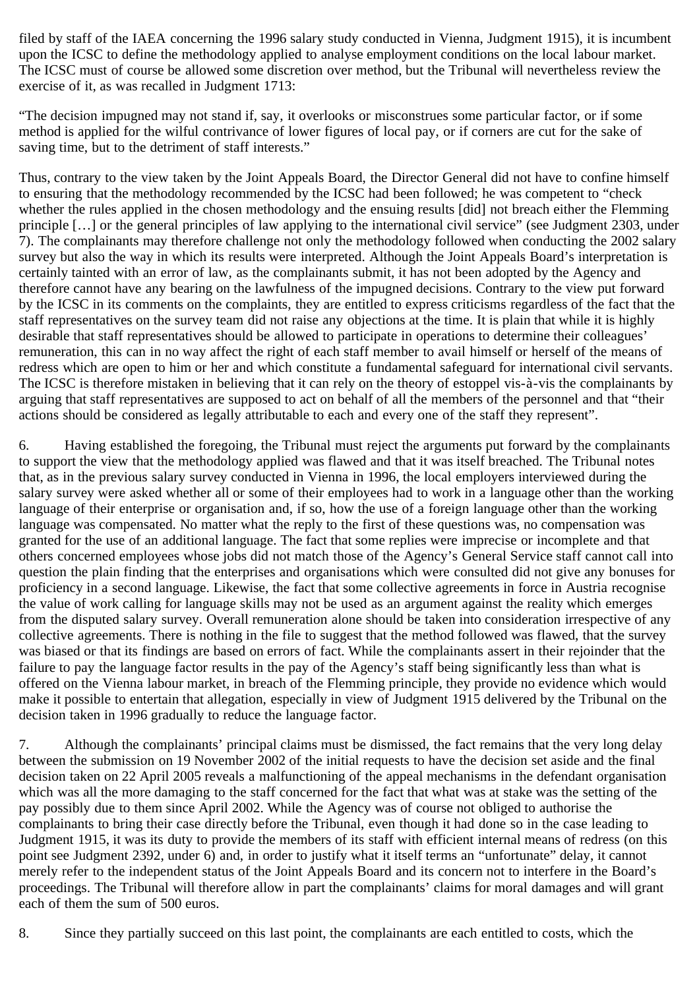filed by staff of the IAEA concerning the 1996 salary study conducted in Vienna, Judgment 1915), it is incumbent upon the ICSC to define the methodology applied to analyse employment conditions on the local labour market. The ICSC must of course be allowed some discretion over method, but the Tribunal will nevertheless review the exercise of it, as was recalled in Judgment 1713:

"The decision impugned may not stand if, say, it overlooks or misconstrues some particular factor, or if some method is applied for the wilful contrivance of lower figures of local pay, or if corners are cut for the sake of saving time, but to the detriment of staff interests."

Thus, contrary to the view taken by the Joint Appeals Board, the Director General did not have to confine himself to ensuring that the methodology recommended by the ICSC had been followed; he was competent to "check whether the rules applied in the chosen methodology and the ensuing results [did] not breach either the Flemming principle […] or the general principles of law applying to the international civil service" (see Judgment 2303, under 7). The complainants may therefore challenge not only the methodology followed when conducting the 2002 salary survey but also the way in which its results were interpreted. Although the Joint Appeals Board's interpretation is certainly tainted with an error of law, as the complainants submit, it has not been adopted by the Agency and therefore cannot have any bearing on the lawfulness of the impugned decisions. Contrary to the view put forward by the ICSC in its comments on the complaints, they are entitled to express criticisms regardless of the fact that the staff representatives on the survey team did not raise any objections at the time. It is plain that while it is highly desirable that staff representatives should be allowed to participate in operations to determine their colleagues' remuneration, this can in no way affect the right of each staff member to avail himself or herself of the means of redress which are open to him or her and which constitute a fundamental safeguard for international civil servants. The ICSC is therefore mistaken in believing that it can rely on the theory of estoppel vis-à-vis the complainants by arguing that staff representatives are supposed to act on behalf of all the members of the personnel and that "their actions should be considered as legally attributable to each and every one of the staff they represent".

6. Having established the foregoing, the Tribunal must reject the arguments put forward by the complainants to support the view that the methodology applied was flawed and that it was itself breached. The Tribunal notes that, as in the previous salary survey conducted in Vienna in 1996, the local employers interviewed during the salary survey were asked whether all or some of their employees had to work in a language other than the working language of their enterprise or organisation and, if so, how the use of a foreign language other than the working language was compensated. No matter what the reply to the first of these questions was, no compensation was granted for the use of an additional language. The fact that some replies were imprecise or incomplete and that others concerned employees whose jobs did not match those of the Agency's General Service staff cannot call into question the plain finding that the enterprises and organisations which were consulted did not give any bonuses for proficiency in a second language. Likewise, the fact that some collective agreements in force in Austria recognise the value of work calling for language skills may not be used as an argument against the reality which emerges from the disputed salary survey. Overall remuneration alone should be taken into consideration irrespective of any collective agreements. There is nothing in the file to suggest that the method followed was flawed, that the survey was biased or that its findings are based on errors of fact. While the complainants assert in their rejoinder that the failure to pay the language factor results in the pay of the Agency's staff being significantly less than what is offered on the Vienna labour market, in breach of the Flemming principle, they provide no evidence which would make it possible to entertain that allegation, especially in view of Judgment 1915 delivered by the Tribunal on the decision taken in 1996 gradually to reduce the language factor.

7. Although the complainants' principal claims must be dismissed, the fact remains that the very long delay between the submission on 19 November 2002 of the initial requests to have the decision set aside and the final decision taken on 22 April 2005 reveals a malfunctioning of the appeal mechanisms in the defendant organisation which was all the more damaging to the staff concerned for the fact that what was at stake was the setting of the pay possibly due to them since April 2002. While the Agency was of course not obliged to authorise the complainants to bring their case directly before the Tribunal, even though it had done so in the case leading to Judgment 1915, it was its duty to provide the members of its staff with efficient internal means of redress (on this point see Judgment 2392, under 6) and, in order to justify what it itself terms an "unfortunate" delay, it cannot merely refer to the independent status of the Joint Appeals Board and its concern not to interfere in the Board's proceedings. The Tribunal will therefore allow in part the complainants' claims for moral damages and will grant each of them the sum of 500 euros.

8. Since they partially succeed on this last point, the complainants are each entitled to costs, which the